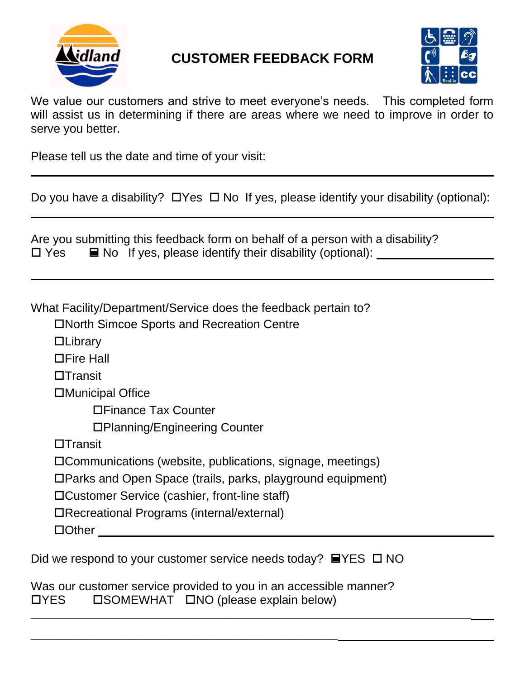

## **CUSTOMER FEEDBACK FORM**



We value our customers and strive to meet everyone's needs. This completed form will assist us in determining if there are areas where we need to improve in order to serve you better.

Please tell us the date and time of your visit:

Do you have a disability?  $\Box$  Yes  $\Box$  No If yes, please identify your disability (optional):

|            | Are you submitting this feedback form on behalf of a person with a disability? |
|------------|--------------------------------------------------------------------------------|
| $\Box$ Yes | $\blacksquare$ No If yes, please identify their disability (optional):         |

What Facility/Department/Service does the feedback pertain to?

North Simcoe Sports and Recreation Centre

**DLibrary** 

**□Fire Hall** 

 $\Box$ Transit

Municipal Office

Finance Tax Counter

Planning/Engineering Counter

 $\Box$ Transit

Communications (website, publications, signage, meetings)

Parks and Open Space (trails, parks, playground equipment)

Customer Service (cashier, front-line staff)

Recreational Programs (internal/external)

□Other **Delayer** and Delayer

Did we respond to your customer service needs today?  $\blacksquare$  YES  $\square$  NO

Was our customer service provided to you in an accessible manner?  $\Box$ YES  $\Box$  SOMEWHAT  $\Box$ NO (please explain below)

**\_\_\_\_\_\_\_\_\_\_\_\_\_\_\_\_\_\_\_\_\_\_\_\_\_\_\_\_\_\_\_\_\_\_\_\_\_\_\_\_\_\_\_\_\_\_**

**\_\_\_\_\_\_\_\_\_\_\_\_\_\_\_\_\_\_\_\_\_\_\_\_\_\_\_\_\_\_\_\_\_\_\_\_\_\_\_\_\_\_\_\_\_\_\_\_\_\_\_\_\_\_\_\_\_\_\_\_\_\_\_\_\_\_**